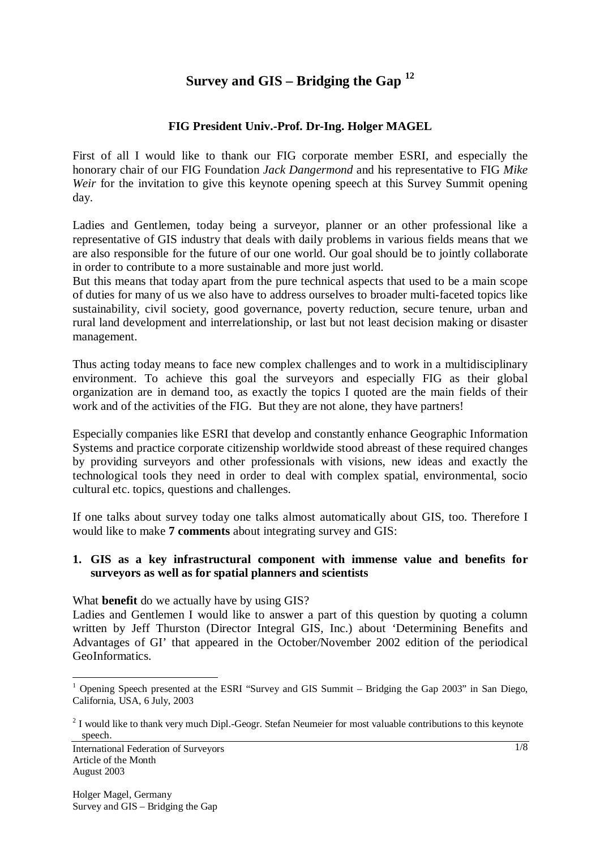# **Survey and GIS – Bridging the Gap <sup>12</sup>**

# **FIG President Univ.-Prof. Dr-Ing. Holger MAGEL**

First of all I would like to thank our FIG corporate member ESRI, and especially the honorary chair of our FIG Foundation *Jack Dangermond* and his representative to FIG *Mike Weir* for the invitation to give this keynote opening speech at this Survey Summit opening day.

Ladies and Gentlemen, today being a surveyor, planner or an other professional like a representative of GIS industry that deals with daily problems in various fields means that we are also responsible for the future of our one world. Our goal should be to jointly collaborate in order to contribute to a more sustainable and more just world.

But this means that today apart from the pure technical aspects that used to be a main scope of duties for many of us we also have to address ourselves to broader multi-faceted topics like sustainability, civil society, good governance, poverty reduction, secure tenure, urban and rural land development and interrelationship, or last but not least decision making or disaster management.

Thus acting today means to face new complex challenges and to work in a multidisciplinary environment. To achieve this goal the surveyors and especially FIG as their global organization are in demand too, as exactly the topics I quoted are the main fields of their work and of the activities of the FIG. But they are not alone, they have partners!

Especially companies like ESRI that develop and constantly enhance Geographic Information Systems and practice corporate citizenship worldwide stood abreast of these required changes by providing surveyors and other professionals with visions, new ideas and exactly the technological tools they need in order to deal with complex spatial, environmental, socio cultural etc. topics, questions and challenges.

If one talks about survey today one talks almost automatically about GIS, too. Therefore I would like to make **7 comments** about integrating survey and GIS:

#### **1. GIS as a key infrastructural component with immense value and benefits for surveyors as well as for spatial planners and scientists**

What **benefit** do we actually have by using GIS?

Ladies and Gentlemen I would like to answer a part of this question by quoting a column written by Jeff Thurston (Director Integral GIS, Inc.) about 'Determining Benefits and Advantages of GI' that appeared in the October/November 2002 edition of the periodical GeoInformatics.

 $\overline{a}$ <sup>1</sup> Opening Speech presented at the ESRI "Survey and GIS Summit – Bridging the Gap 2003" in San Diego, California, USA, 6 July, 2003

 $2<sup>2</sup>$  I would like to thank very much Dipl.-Geogr. Stefan Neumeier for most valuable contributions to this keynote speech.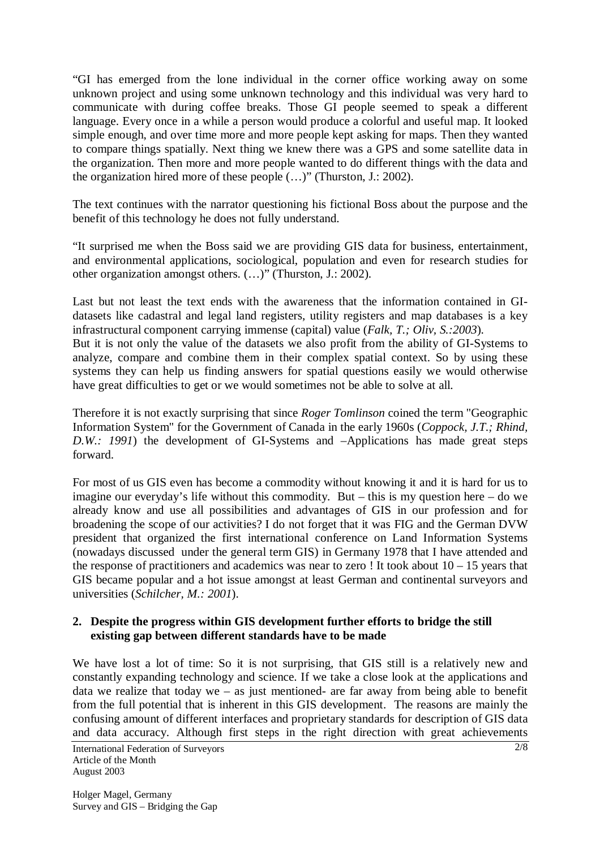"GI has emerged from the lone individual in the corner office working away on some unknown project and using some unknown technology and this individual was very hard to communicate with during coffee breaks. Those GI people seemed to speak a different language. Every once in a while a person would produce a colorful and useful map. It looked simple enough, and over time more and more people kept asking for maps. Then they wanted to compare things spatially. Next thing we knew there was a GPS and some satellite data in the organization. Then more and more people wanted to do different things with the data and the organization hired more of these people (…)" (Thurston, J.: 2002).

The text continues with the narrator questioning his fictional Boss about the purpose and the benefit of this technology he does not fully understand.

"It surprised me when the Boss said we are providing GIS data for business, entertainment, and environmental applications, sociological, population and even for research studies for other organization amongst others. (…)" (Thurston, J.: 2002).

Last but not least the text ends with the awareness that the information contained in GIdatasets like cadastral and legal land registers, utility registers and map databases is a key infrastructural component carrying immense (capital) value (*Falk, T.; Oliv, S.:2003*).

But it is not only the value of the datasets we also profit from the ability of GI-Systems to analyze, compare and combine them in their complex spatial context. So by using these systems they can help us finding answers for spatial questions easily we would otherwise have great difficulties to get or we would sometimes not be able to solve at all.

Therefore it is not exactly surprising that since *Roger Tomlinson* coined the term "Geographic Information System" for the Government of Canada in the early 1960s (*Coppock, J.T.; Rhind, D.W.: 1991*) the development of GI-Systems and –Applications has made great steps forward.

For most of us GIS even has become a commodity without knowing it and it is hard for us to imagine our everyday's life without this commodity. But – this is my question here – do we already know and use all possibilities and advantages of GIS in our profession and for broadening the scope of our activities? I do not forget that it was FIG and the German DVW president that organized the first international conference on Land Information Systems (nowadays discussed under the general term GIS) in Germany 1978 that I have attended and the response of practitioners and academics was near to zero ! It took about  $10 - 15$  years that GIS became popular and a hot issue amongst at least German and continental surveyors and universities (*Schilcher, M.: 2001*).

#### **2. Despite the progress within GIS development further efforts to bridge the still existing gap between different standards have to be made**

We have lost a lot of time: So it is not surprising, that GIS still is a relatively new and constantly expanding technology and science. If we take a close look at the applications and data we realize that today we – as just mentioned- are far away from being able to benefit from the full potential that is inherent in this GIS development. The reasons are mainly the confusing amount of different interfaces and proprietary standards for description of GIS data and data accuracy. Although first steps in the right direction with great achievements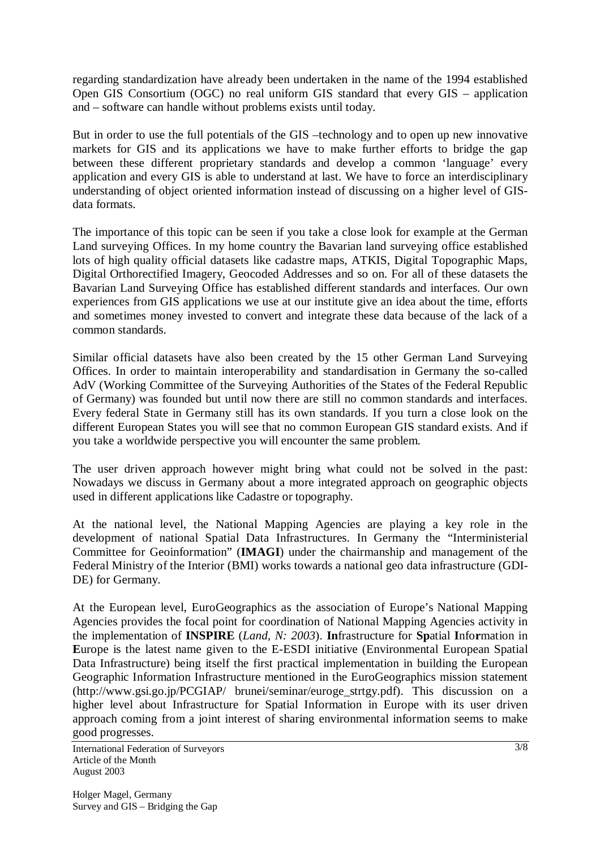regarding standardization have already been undertaken in the name of the 1994 established Open GIS Consortium (OGC) no real uniform GIS standard that every GIS – application and – software can handle without problems exists until today.

But in order to use the full potentials of the GIS –technology and to open up new innovative markets for GIS and its applications we have to make further efforts to bridge the gap between these different proprietary standards and develop a common 'language' every application and every GIS is able to understand at last. We have to force an interdisciplinary understanding of object oriented information instead of discussing on a higher level of GISdata formats.

The importance of this topic can be seen if you take a close look for example at the German Land surveying Offices. In my home country the Bavarian land surveying office established lots of high quality official datasets like cadastre maps, ATKIS, Digital Topographic Maps, Digital Orthorectified Imagery, Geocoded Addresses and so on. For all of these datasets the Bavarian Land Surveying Office has established different standards and interfaces. Our own experiences from GIS applications we use at our institute give an idea about the time, efforts and sometimes money invested to convert and integrate these data because of the lack of a common standards.

Similar official datasets have also been created by the 15 other German Land Surveying Offices. In order to maintain interoperability and standardisation in Germany the so-called AdV (Working Committee of the Surveying Authorities of the States of the Federal Republic of Germany) was founded but until now there are still no common standards and interfaces. Every federal State in Germany still has its own standards. If you turn a close look on the different European States you will see that no common European GIS standard exists. And if you take a worldwide perspective you will encounter the same problem.

The user driven approach however might bring what could not be solved in the past: Nowadays we discuss in Germany about a more integrated approach on geographic objects used in different applications like Cadastre or topography.

At the national level, the National Mapping Agencies are playing a key role in the development of national Spatial Data Infrastructures. In Germany the "Interministerial Committee for Geoinformation" (**IMAGI**) under the chairmanship and management of the Federal Ministry of the Interior (BMI) works towards a national geo data infrastructure (GDI-DE) for Germany.

At the European level, EuroGeographics as the association of Europe's National Mapping Agencies provides the focal point for coordination of National Mapping Agencies activity in the implementation of **INSPIRE** (*Land, N: 2003*). **In**frastructure for **Sp**atial **I**nfo**r**mation in **E**urope is the latest name given to the E-ESDI initiative (Environmental European Spatial Data Infrastructure) being itself the first practical implementation in building the European Geographic Information Infrastructure mentioned in the EuroGeographics mission statement (http://www.gsi.go.jp/PCGIAP/ brunei/seminar/euroge\_strtgy.pdf). This discussion on a higher level about Infrastructure for Spatial Information in Europe with its user driven approach coming from a joint interest of sharing environmental information seems to make good progresses.

International Federation of Surveyors Article of the Month August 2003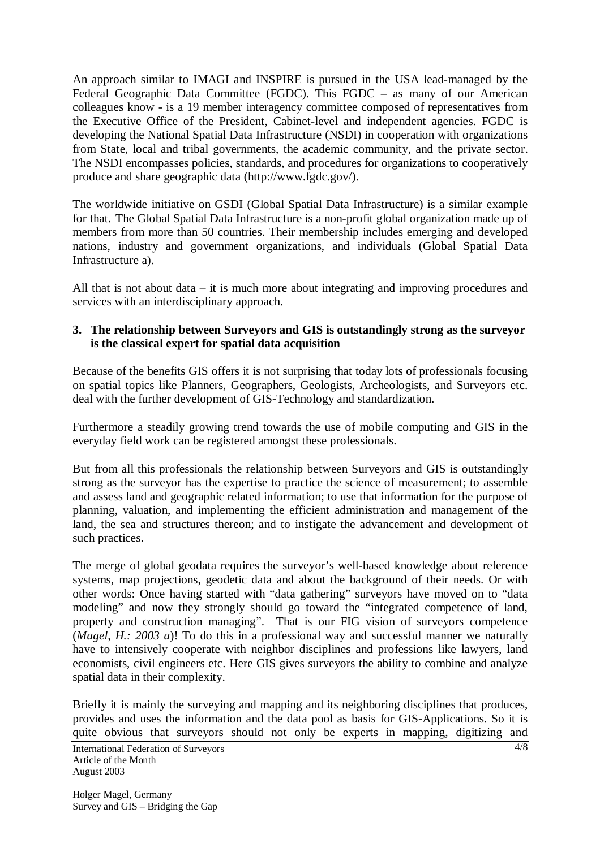An approach similar to IMAGI and INSPIRE is pursued in the USA lead-managed by the Federal Geographic Data Committee (FGDC). This FGDC – as many of our American colleagues know - is a 19 member interagency committee composed of representatives from the Executive Office of the President, Cabinet-level and independent agencies. FGDC is developing the National Spatial Data Infrastructure (NSDI) in cooperation with organizations from State, local and tribal governments, the academic community, and the private sector. The NSDI encompasses policies, standards, and procedures for organizations to cooperatively produce and share geographic data (http://www.fgdc.gov/).

The worldwide initiative on GSDI (Global Spatial Data Infrastructure) is a similar example for that. The Global Spatial Data Infrastructure is a non-profit global organization made up of members from more than 50 countries. Their membership includes emerging and developed nations, industry and government organizations, and individuals (Global Spatial Data Infrastructure a).

All that is not about data – it is much more about integrating and improving procedures and services with an interdisciplinary approach.

## **3. The relationship between Surveyors and GIS is outstandingly strong as the surveyor is the classical expert for spatial data acquisition**

Because of the benefits GIS offers it is not surprising that today lots of professionals focusing on spatial topics like Planners, Geographers, Geologists, Archeologists, and Surveyors etc. deal with the further development of GIS-Technology and standardization.

Furthermore a steadily growing trend towards the use of mobile computing and GIS in the everyday field work can be registered amongst these professionals.

But from all this professionals the relationship between Surveyors and GIS is outstandingly strong as the surveyor has the expertise to practice the science of measurement; to assemble and assess land and geographic related information; to use that information for the purpose of planning, valuation, and implementing the efficient administration and management of the land, the sea and structures thereon; and to instigate the advancement and development of such practices.

The merge of global geodata requires the surveyor's well-based knowledge about reference systems, map projections, geodetic data and about the background of their needs. Or with other words: Once having started with "data gathering" surveyors have moved on to "data modeling" and now they strongly should go toward the "integrated competence of land, property and construction managing". That is our FIG vision of surveyors competence (*Magel, H.: 2003 a*)! To do this in a professional way and successful manner we naturally have to intensively cooperate with neighbor disciplines and professions like lawyers, land economists, civil engineers etc. Here GIS gives surveyors the ability to combine and analyze spatial data in their complexity.

Briefly it is mainly the surveying and mapping and its neighboring disciplines that produces, provides and uses the information and the data pool as basis for GIS-Applications. So it is quite obvious that surveyors should not only be experts in mapping, digitizing and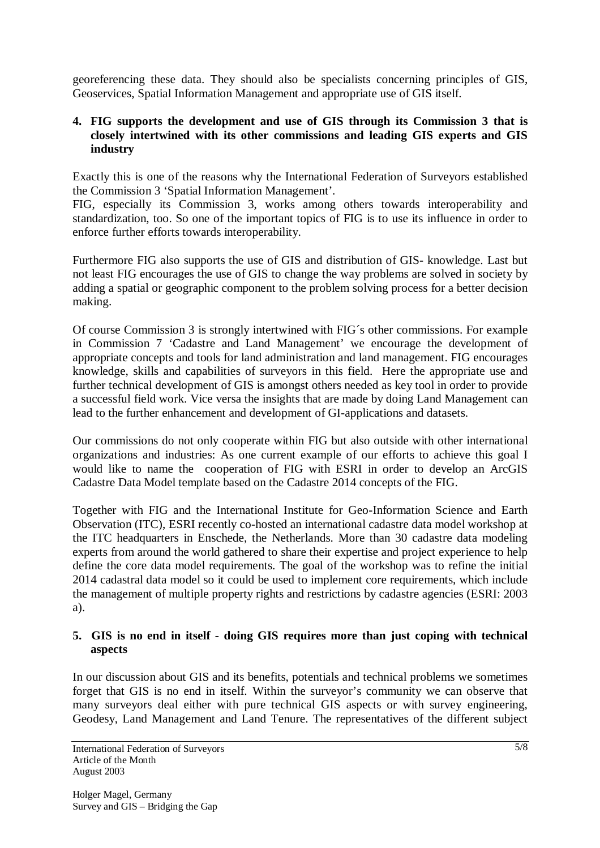georeferencing these data. They should also be specialists concerning principles of GIS, Geoservices, Spatial Information Management and appropriate use of GIS itself.

# **4. FIG supports the development and use of GIS through its Commission 3 that is closely intertwined with its other commissions and leading GIS experts and GIS industry**

Exactly this is one of the reasons why the International Federation of Surveyors established the Commission 3 'Spatial Information Management'.

FIG, especially its Commission 3, works among others towards interoperability and standardization, too. So one of the important topics of FIG is to use its influence in order to enforce further efforts towards interoperability.

Furthermore FIG also supports the use of GIS and distribution of GIS- knowledge. Last but not least FIG encourages the use of GIS to change the way problems are solved in society by adding a spatial or geographic component to the problem solving process for a better decision making.

Of course Commission 3 is strongly intertwined with FIG´s other commissions. For example in Commission 7 'Cadastre and Land Management' we encourage the development of appropriate concepts and tools for land administration and land management. FIG encourages knowledge, skills and capabilities of surveyors in this field. Here the appropriate use and further technical development of GIS is amongst others needed as key tool in order to provide a successful field work. Vice versa the insights that are made by doing Land Management can lead to the further enhancement and development of GI-applications and datasets.

Our commissions do not only cooperate within FIG but also outside with other international organizations and industries: As one current example of our efforts to achieve this goal I would like to name the cooperation of FIG with ESRI in order to develop an ArcGIS Cadastre Data Model template based on the Cadastre 2014 concepts of the FIG.

Together with FIG and the International Institute for Geo-Information Science and Earth Observation (ITC), ESRI recently co-hosted an international cadastre data model workshop at the ITC headquarters in Enschede, the Netherlands. More than 30 cadastre data modeling experts from around the world gathered to share their expertise and project experience to help define the core data model requirements. The goal of the workshop was to refine the initial 2014 cadastral data model so it could be used to implement core requirements, which include the management of multiple property rights and restrictions by cadastre agencies (ESRI: 2003 a).

#### **5. GIS is no end in itself - doing GIS requires more than just coping with technical aspects**

In our discussion about GIS and its benefits, potentials and technical problems we sometimes forget that GIS is no end in itself. Within the surveyor's community we can observe that many surveyors deal either with pure technical GIS aspects or with survey engineering, Geodesy, Land Management and Land Tenure. The representatives of the different subject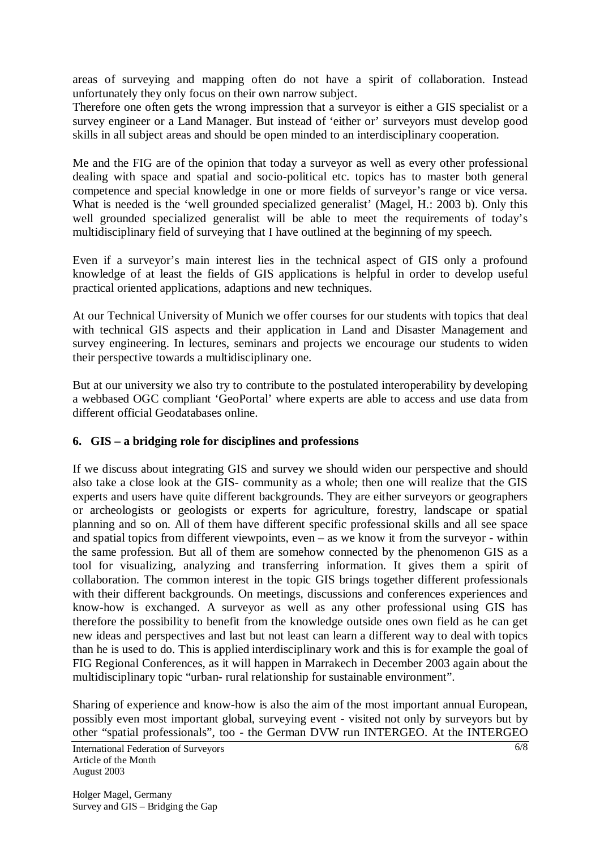areas of surveying and mapping often do not have a spirit of collaboration. Instead unfortunately they only focus on their own narrow subject.

Therefore one often gets the wrong impression that a surveyor is either a GIS specialist or a survey engineer or a Land Manager. But instead of 'either or' surveyors must develop good skills in all subject areas and should be open minded to an interdisciplinary cooperation.

Me and the FIG are of the opinion that today a surveyor as well as every other professional dealing with space and spatial and socio-political etc. topics has to master both general competence and special knowledge in one or more fields of surveyor's range or vice versa. What is needed is the 'well grounded specialized generalist' (Magel, H.: 2003 b). Only this well grounded specialized generalist will be able to meet the requirements of today's multidisciplinary field of surveying that I have outlined at the beginning of my speech.

Even if a surveyor's main interest lies in the technical aspect of GIS only a profound knowledge of at least the fields of GIS applications is helpful in order to develop useful practical oriented applications, adaptions and new techniques.

At our Technical University of Munich we offer courses for our students with topics that deal with technical GIS aspects and their application in Land and Disaster Management and survey engineering. In lectures, seminars and projects we encourage our students to widen their perspective towards a multidisciplinary one.

But at our university we also try to contribute to the postulated interoperability by developing a webbased OGC compliant 'GeoPortal' where experts are able to access and use data from different official Geodatabases online.

# **6. GIS – a bridging role for disciplines and professions**

If we discuss about integrating GIS and survey we should widen our perspective and should also take a close look at the GIS- community as a whole; then one will realize that the GIS experts and users have quite different backgrounds. They are either surveyors or geographers or archeologists or geologists or experts for agriculture, forestry, landscape or spatial planning and so on. All of them have different specific professional skills and all see space and spatial topics from different viewpoints, even – as we know it from the surveyor - within the same profession. But all of them are somehow connected by the phenomenon GIS as a tool for visualizing, analyzing and transferring information. It gives them a spirit of collaboration. The common interest in the topic GIS brings together different professionals with their different backgrounds. On meetings, discussions and conferences experiences and know-how is exchanged. A surveyor as well as any other professional using GIS has therefore the possibility to benefit from the knowledge outside ones own field as he can get new ideas and perspectives and last but not least can learn a different way to deal with topics than he is used to do. This is applied interdisciplinary work and this is for example the goal of FIG Regional Conferences, as it will happen in Marrakech in December 2003 again about the multidisciplinary topic "urban- rural relationship for sustainable environment".

Sharing of experience and know-how is also the aim of the most important annual European, possibly even most important global, surveying event - visited not only by surveyors but by other "spatial professionals", too - the German DVW run INTERGEO. At the INTERGEO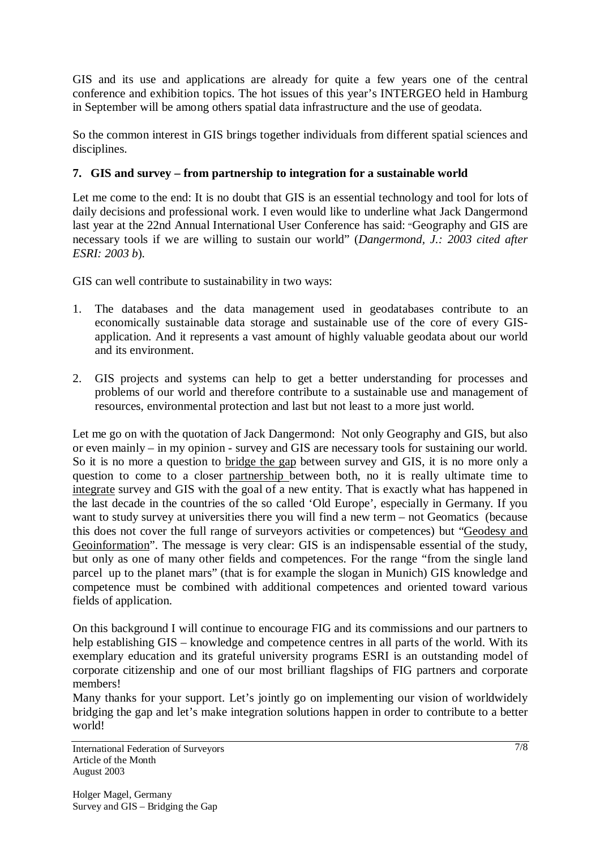GIS and its use and applications are already for quite a few years one of the central conference and exhibition topics. The hot issues of this year's INTERGEO held in Hamburg in September will be among others spatial data infrastructure and the use of geodata.

So the common interest in GIS brings together individuals from different spatial sciences and disciplines.

# **7. GIS and survey – from partnership to integration for a sustainable world**

Let me come to the end: It is no doubt that GIS is an essential technology and tool for lots of daily decisions and professional work. I even would like to underline what Jack Dangermond last year at the 22nd Annual International User Conference has said: "Geography and GIS are necessary tools if we are willing to sustain our world" (*Dangermond, J.: 2003 cited after ESRI: 2003 b*).

GIS can well contribute to sustainability in two ways:

- 1. The databases and the data management used in geodatabases contribute to an economically sustainable data storage and sustainable use of the core of every GISapplication. And it represents a vast amount of highly valuable geodata about our world and its environment.
- 2. GIS projects and systems can help to get a better understanding for processes and problems of our world and therefore contribute to a sustainable use and management of resources, environmental protection and last but not least to a more just world.

Let me go on with the quotation of Jack Dangermond: Not only Geography and GIS, but also or even mainly – in my opinion - survey and GIS are necessary tools for sustaining our world. So it is no more a question to bridge the gap between survey and GIS, it is no more only a question to come to a closer partnership between both, no it is really ultimate time to integrate survey and GIS with the goal of a new entity. That is exactly what has happened in the last decade in the countries of the so called 'Old Europe', especially in Germany. If you want to study survey at universities there you will find a new term – not Geomatics (because this does not cover the full range of surveyors activities or competences) but "Geodesy and Geoinformation". The message is very clear: GIS is an indispensable essential of the study, but only as one of many other fields and competences. For the range "from the single land parcel up to the planet mars" (that is for example the slogan in Munich) GIS knowledge and competence must be combined with additional competences and oriented toward various fields of application.

On this background I will continue to encourage FIG and its commissions and our partners to help establishing GIS – knowledge and competence centres in all parts of the world. With its exemplary education and its grateful university programs ESRI is an outstanding model of corporate citizenship and one of our most brilliant flagships of FIG partners and corporate members!

Many thanks for your support. Let's jointly go on implementing our vision of worldwidely bridging the gap and let's make integration solutions happen in order to contribute to a better world!

International Federation of Surveyors Article of the Month August 2003